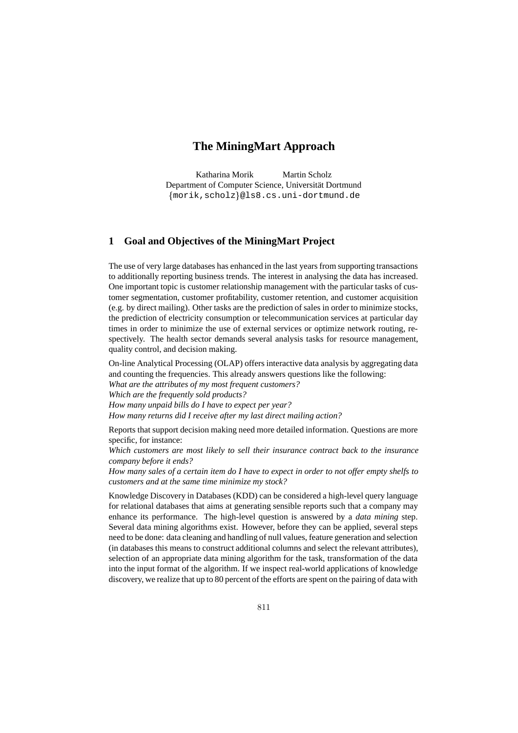# **The MiningMart Approach**

Katharina Morik Martin Scholz Department of Computer Science, Universität Dortmund -morik,scholz@ls8.cs.uni-dortmund.de

### **1 Goal and Objectives of the MiningMart Project**

The use of very large databases has enhanced in the last years from supporting transactions to additionally reporting business trends. The interest in analysing the data has increased. One important topic is customer relationship management with the particular tasks of customer segmentation, customer profitability, customer retention, and customer acquisition (e.g. by direct mailing). Other tasks are the prediction of sales in order to minimize stocks, the prediction of electricity consumption or telecommunication services at particular day times in order to minimize the use of external services or optimize network routing, respectively. The health sector demands several analysis tasks for resource management, quality control, and decision making.

On-line Analytical Processing (OLAP) offers interactive data analysis by aggregating data and counting the frequencies. This already answers questions like the following: *What are the attributes of my most frequent customers? Which are the frequently sold products? How many unpaid bills do I have to expect per year? How many returns did I receive after my last direct mailing action?*

Reports that support decision making need more detailed information. Questions are more specific, for instance:

*Which customers are most likely to sell their insurance contract back to the insurance company before it ends?*

*How many sales of a certain item do I have to expect in order to not offer empty shelfs to customers and at the same time minimize my stock?*

Knowledge Discovery in Databases (KDD) can be considered a high-level query language for relational databases that aims at generating sensible reports such that a company may enhance its performance. The high-level question is answered by a *data mining* step. Several data mining algorithms exist. However, before they can be applied, several steps need to be done: data cleaning and handling of null values, feature generation and selection (in databases this means to construct additional columns and select the relevant attributes), selection of an appropriate data mining algorithm for the task, transformation of the data into the input format of the algorithm. If we inspect real-world applications of knowledge discovery, we realize that up to 80 percent of the efforts are spent on the pairing of data with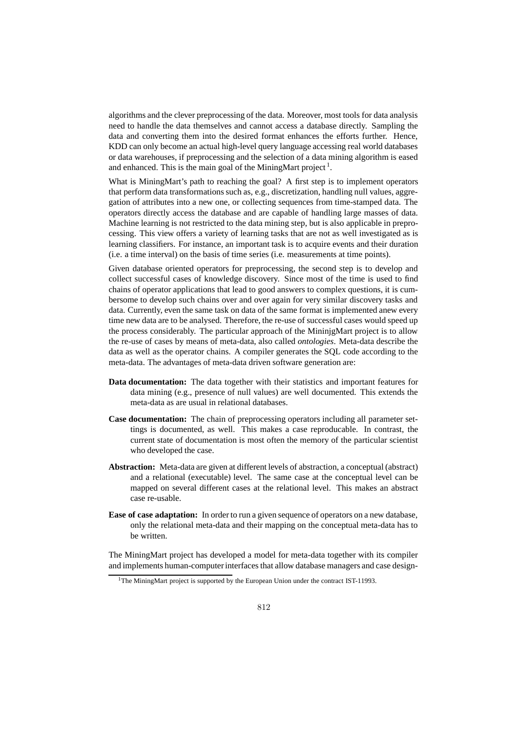algorithms and the clever preprocessing of the data. Moreover, most tools for data analysis need to handle the data themselves and cannot access a database directly. Sampling the data and converting them into the desired format enhances the efforts further. Hence, KDD can only become an actual high-level query language accessing real world databases or data warehouses, if preprocessing and the selection of a data mining algorithm is eased and enhanced. This is the main goal of the MiningMart project<sup>1</sup>.

What is MiningMart's path to reaching the goal? A first step is to implement operators that perform data transformations such as, e.g., discretization, handling null values, aggregation of attributes into a new one, or collecting sequences from time-stamped data. The operators directly access the database and are capable of handling large masses of data. Machine learning is not restricted to the data mining step, but is also applicable in preprocessing. This view offers a variety of learning tasks that are not as well investigated as is learning classifiers. For instance, an important task is to acquire events and their duration (i.e. a time interval) on the basis of time series (i.e. measurements at time points).

Given database oriented operators for preprocessing, the second step is to develop and collect successful cases of knowledge discovery. Since most of the time is used to find chains of operator applications that lead to good answers to complex questions, it is cumbersome to develop such chains over and over again for very similar discovery tasks and data. Currently, even the same task on data of the same format is implemented anew every time new data are to be analysed. Therefore, the re-use of successful cases would speed up the process considerably. The particular approach of the MininjgMart project is to allow the re-use of cases by means of meta-data, also called *ontologies*. Meta-data describe the data as well as the operator chains. A compiler generates the SQL code according to the meta-data. The advantages of meta-data driven software generation are:

- **Data documentation:** The data together with their statistics and important features for data mining (e.g., presence of null values) are well documented. This extends the meta-data as are usual in relational databases.
- **Case documentation:** The chain of preprocessing operators including all parameter settings is documented, as well. This makes a case reproducable. In contrast, the current state of documentation is most often the memory of the particular scientist who developed the case.
- **Abstraction:** Meta-data are given at different levels of abstraction, a conceptual (abstract) and a relational (executable) level. The same case at the conceptual level can be mapped on several different cases at the relational level. This makes an abstract case re-usable.
- **Ease of case adaptation:** In order to run a given sequence of operators on a new database, only the relational meta-data and their mapping on the conceptual meta-data has to be written.

The MiningMart project has developed a model for meta-data together with its compiler and implements human-computer interfaces that allow database managers and case design-

<sup>&</sup>lt;sup>1</sup>The MiningMart project is supported by the European Union under the contract IST-11993.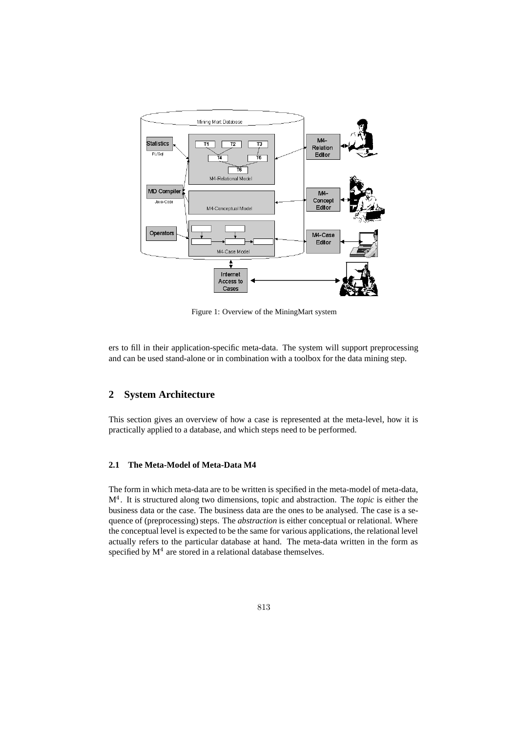

Figure 1: Overview of the MiningMart system

ers to fill in their application-specific meta-data. The system will support preprocessing and can be used stand-alone or in combination with a toolbox for the data mining step.

# **2 System Architecture**

This section gives an overview of how a case is represented at the meta-level, how it is practically applied to a database, and which steps need to be performed.

### **2.1 The Meta-Model of Meta-Data M4**

The form in which meta-data are to be written is specified in the meta-model of meta-data, M . It is structured along two dimensions, topic and abstraction. The *topic* is either the business data or the case. The business data are the ones to be analysed. The case is a sequence of (preprocessing) steps. The *abstraction* is either conceptual or relational. Where the conceptual level is expected to be the same for various applications, the relational level actually refers to the particular database at hand. The meta-data written in the form as specified by  $M<sup>4</sup>$  are stored in a relational database themselves.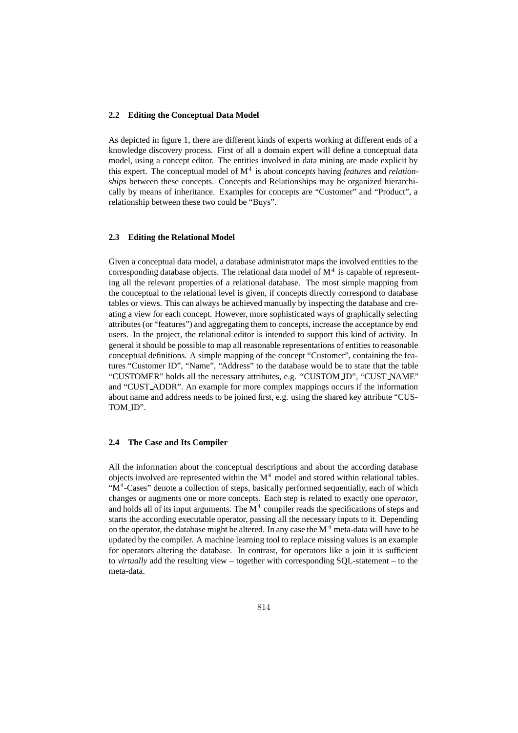#### **2.2 Editing the Conceptual Data Model**

As depicted in figure 1, there are different kinds of experts working at different ends of a knowledge discovery process. First of all a domain expert will define a conceptual data model, using a concept editor. The entities involved in data mining are made explicit by this expert. The conceptual model of  $M<sup>4</sup>$  is about *concepts* having *features* and *relationships* between these concepts. Concepts and Relationships may be organized hierarchically by means of inheritance. Examples for concepts are "Customer" and "Product", a relationship between these two could be "Buys".

#### **2.3 Editing the Relational Model**

Given a conceptual data model, a database administrator maps the involved entities to the corresponding database objects. The relational data model of  $M<sup>4</sup>$  is capable of representing all the relevant properties of a relational database. The most simple mapping from the conceptual to the relational level is given, if concepts directly correspond to database tables or views. This can always be achieved manually by inspecting the database and creating a view for each concept. However, more sophisticated ways of graphically selecting attributes (or "features") and aggregating them to concepts, increase the acceptance by end users. In the project, the relational editor is intended to support this kind of activity. In general it should be possible to map all reasonable representations of entities to reasonable conceptual definitions. A simple mapping of the concept "Customer", containing the features "Customer ID", "Name", "Address" to the database would be to state that the table "CUSTOMER" holds all the necessary attributes, e.g. "CUSTOM ID", "CUST NAME" and "CUST ADDR". An example for more complex mappings occurs if the information about name and address needs to be joined first, e.g. using the shared key attribute "CUS-TOM\_ID".

#### **2.4 The Case and Its Compiler**

All the information about the conceptual descriptions and about the according database objects involved are represented within the  $M<sup>4</sup>$  model and stored within relational tables. " $M<sup>4</sup>$ -Cases" denote a collection of steps, basically performed sequentially, each of which changes or augments one or more concepts. Each step is related to exactly one *operator*, and holds all of its input arguments. The  $M<sup>4</sup>$  compiler reads the specifications of steps and starts the according executable operator, passing all the necessary inputs to it. Depending on the operator, the database might be altered. In any case the  $M<sup>4</sup>$  meta-data will have to be updated by the compiler. A machine learning tool to replace missing values is an example for operators altering the database. In contrast, for operators like a join it is sufficient to *virtually* add the resulting view – together with corresponding SQL-statement – to the meta-data.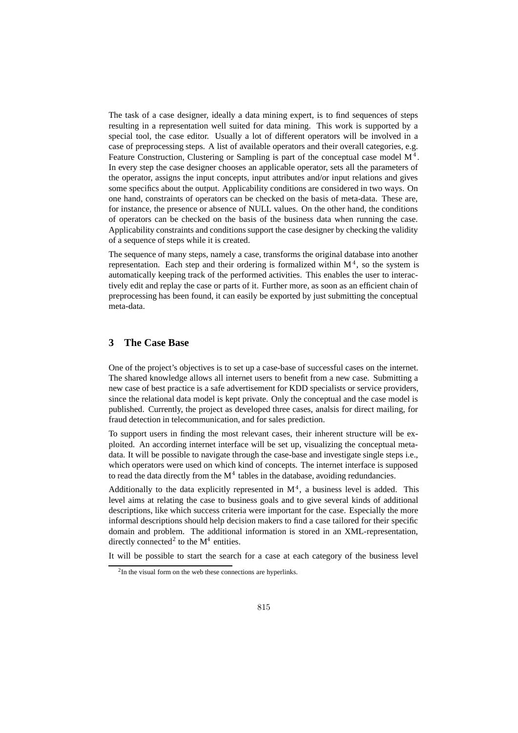The task of a case designer, ideally a data mining expert, is to find sequences of steps resulting in a representation well suited for data mining. This work is supported by a special tool, the case editor. Usually a lot of different operators will be involved in a case of preprocessing steps. A list of available operators and their overall categories, e.g. Feature Construction, Clustering or Sampling is part of the conceptual case model  $M<sup>4</sup>$ . In every step the case designer chooses an applicable operator, sets all the parameters of the operator, assigns the input concepts, input attributes and/or input relations and gives some specifics about the output. Applicability conditions are considered in two ways. On one hand, constraints of operators can be checked on the basis of meta-data. These are, for instance, the presence or absence of NULL values. On the other hand, the conditions of operators can be checked on the basis of the business data when running the case. Applicability constraints and conditions support the case designer by checking the validity of a sequence of steps while it is created.

The sequence of many steps, namely a case, transforms the original database into another representation. Each step and their ordering is formalized within  $M<sup>4</sup>$ , so the system is automatically keeping track of the performed activities. This enables the user to interactively edit and replay the case or parts of it. Further more, as soon as an efficient chain of preprocessing has been found, it can easily be exported by just submitting the conceptual meta-data.

## **3 The Case Base**

One of the project's objectives is to set up a case-base of successful cases on the internet. The shared knowledge allows all internet users to benefit from a new case. Submitting a new case of best practice is a safe advertisement for KDD specialists or service providers, since the relational data model is kept private. Only the conceptual and the case model is published. Currently, the project as developed three cases, analsis for direct mailing, for fraud detection in telecommunication, and for sales prediction.

To support users in finding the most relevant cases, their inherent structure will be exploited. An according internet interface will be set up, visualizing the conceptual metadata. It will be possible to navigate through the case-base and investigate single steps i.e., which operators were used on which kind of concepts. The internet interface is supposed to read the data directly from the  $M<sup>4</sup>$  tables in the database, avoiding redundancies.

Additionally to the data explicitly represented in  $M<sup>4</sup>$ , a business level is added. This level aims at relating the case to business goals and to give several kinds of additional descriptions, like which success criteria were important for the case. Especially the more informal descriptions should help decision makers to find a case tailored for their specific domain and problem. The additional information is stored in an XML-representation, directly connected<sup>2</sup> to the  $M^4$  entities.

It will be possible to start the search for a case at each category of the business level

<sup>&</sup>lt;sup>2</sup>In the visual form on the web these connections are hyperlinks.